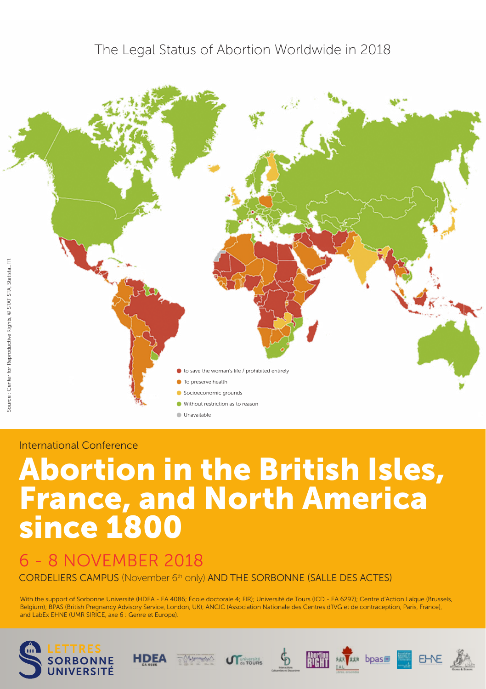### The Legal Status of Abortion Worldwide in 2018



#### International Conference

# Abortion in the British Isles, France, and North America since 1800

# 6 - 8 NOVEMBER 2018

CORDELIERS CAMPUS (November 6th only) AND THE SORBONNE (SALLE DES ACTES)

With the support of Sorbonne Université (HDEA - EA 4086; École doctorale 4; FIR); Université de Tours (ICD - EA 6297); Centre d'Action Laïque (Brussels, Belgium); BPAS (British Pregnancy Advisory Service, London, UK); ANCIC (Association Nationale des Centres d'IVG et de contraception, Paris, France), and LabEx EHNE (UMR SIRICE, axe 6 : Genre et Europe).







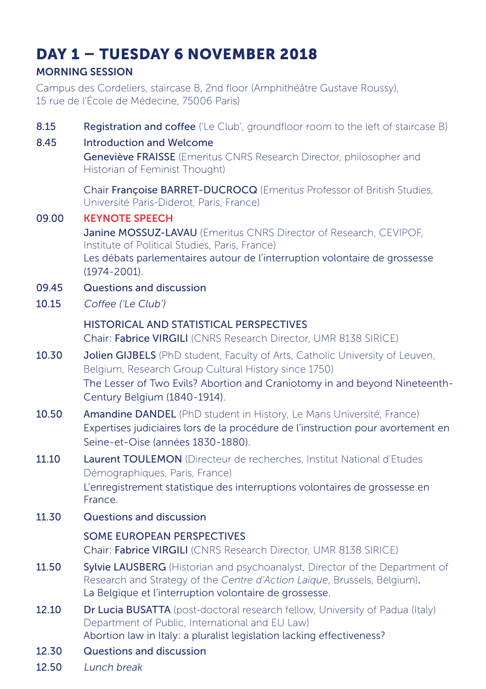# DAY 1 – TUESDAY 6 NOVEMBER 2018

### MORNING SESSION

Campus des Cordeliers, staircase B, 2nd floor (Amphithéâtre Gustave Roussy), 15 rue de l'École de Médecine, 75006 Paris)

| 8.15<br>8.45 | Registration and coffee ('Le Club', groundfloor room to the left of staircase B)<br><b>Introduction and Welcome</b><br>Geneviève FRAISSE (Emeritus CNRS Research Director, philosopher and<br>Historian of Feminist Thought) |
|--------------|------------------------------------------------------------------------------------------------------------------------------------------------------------------------------------------------------------------------------|
| 09.00        | Chair Françoise BARRET-DUCROCQ (Emeritus Professor of British Studies,<br>Université Paris-Diderot, Paris, France)<br><b>KEYNOTE SPEECH</b>                                                                                  |
|              | Janine MOSSUZ-LAVAU (Emeritus CNRS Director of Research, CEVIPOF,<br>Institute of Political Studies, Paris, France)<br>Les débats parlementaires autour de l'interruption volontaire de grossesse<br>$(1974 - 2001)$ .       |
| 09.45        | Questions and discussion                                                                                                                                                                                                     |
| 10.15        | Coffee ('Le Club')                                                                                                                                                                                                           |
|              | <b>HISTORICAL AND STATISTICAL PERSPECTIVES</b><br>Chair: Fabrice VIRGILI (CNRS Research Director, UMR 8138 SIRICE)                                                                                                           |
| 10.30        | Jolien GIJBELS (PhD student, Faculty of Arts, Catholic University of Leuven,<br>Belgium, Research Group Cultural History since 1750)                                                                                         |
|              | The Lesser of Two Evils? Abortion and Craniotomy in and beyond Nineteenth-<br>Century Belgium (1840-1914).                                                                                                                   |
| 10.50        | Amandine DANDEL (PhD student in History, Le Mans Université, France)<br>Expertises judiciaires lors de la procédure de l'instruction pour avortement en<br>Seine-et-Oise (années 1830-1880).                                 |
| 11.10        | Laurent TOULEMON (Directeur de recherches, Institut National d'Etudes<br>Démographiques, Paris, France)<br>L'enregistrement statistique des interruptions volontaires de grossesse en                                        |
|              | France.                                                                                                                                                                                                                      |
| 11.30        | Questions and discussion                                                                                                                                                                                                     |
|              | <b>SOME EUROPEAN PERSPECTIVES</b><br>Chair: Fabrice VIRGILI (CNRS Research Director, UMR 8138 SIRICE)                                                                                                                        |
| 11.50        | Sylvie LAUSBERG (Historian and psychoanalyst, Director of the Department of<br>Research and Strategy of the Centre d'Action Laïque, Brussels, Belgium).<br>La Belgique et l'interruption volontaire de grossesse.            |
| 12.10        | Dr Lucia BUSATTA (post-doctoral research fellow, University of Padua (Italy)<br>Department of Public, International and EU Law)<br>Abortion law in Italy: a pluralist legislation lacking effectiveness?                     |
| 12.30        | Questions and discussion                                                                                                                                                                                                     |
| 12.50        | Lunch break                                                                                                                                                                                                                  |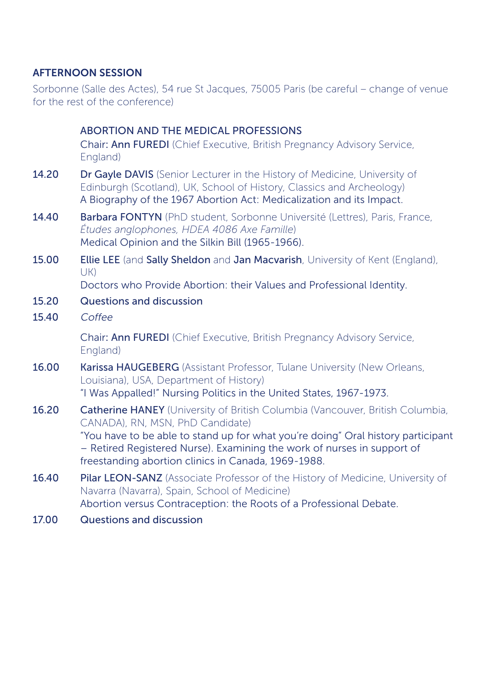#### AFTERNOON SESSION

Sorbonne (Salle des Actes), 54 rue St Jacques, 75005 Paris (be careful – change of venue for the rest of the conference)

|       | ABORTION AND THE MEDICAL PROFESSIONS                                                                                                                                                                                       |
|-------|----------------------------------------------------------------------------------------------------------------------------------------------------------------------------------------------------------------------------|
|       | Chair: Ann FUREDI (Chief Executive, British Pregnancy Advisory Service,<br>England)                                                                                                                                        |
| 14.20 | Dr Gayle DAVIS (Senior Lecturer in the History of Medicine, University of<br>Edinburgh (Scotland), UK, School of History, Classics and Archeology)<br>A Biography of the 1967 Abortion Act: Medicalization and its Impact. |
| 14.40 | Barbara FONTYN (PhD student, Sorbonne Université (Lettres), Paris, France,<br>Études anglophones, HDEA 4086 Axe Famille)<br>Medical Opinion and the Silkin Bill (1965-1966).                                               |
| 15.00 | Ellie LEE (and Sally Sheldon and Jan Macvarish, University of Kent (England),<br>UK)                                                                                                                                       |
|       | Doctors who Provide Abortion: their Values and Professional Identity.                                                                                                                                                      |
| 15.20 | Questions and discussion                                                                                                                                                                                                   |
| 15.40 | Coffee                                                                                                                                                                                                                     |
|       | Chair: Ann FUREDI (Chief Executive, British Pregnancy Advisory Service,<br>England)                                                                                                                                        |
| 16.00 | Karissa HAUGEBERG (Assistant Professor, Tulane University (New Orleans,<br>Louisiana), USA, Department of History)<br>"I Was Appalled!" Nursing Politics in the United States, 1967-1973.                                  |
|       |                                                                                                                                                                                                                            |
| 16.20 | <b>Catherine HANEY</b> (University of British Columbia (Vancouver, British Columbia,<br>CANADA), RN, MSN, PhD Candidate)                                                                                                   |
|       | "You have to be able to stand up for what you're doing" Oral history participant<br>- Retired Registered Nurse). Examining the work of nurses in support of<br>freestanding abortion clinics in Canada, 1969-1988.         |
| 16.40 | Pilar LEON-SANZ (Associate Professor of the History of Medicine, University of<br>Navarra (Navarra), Spain, School of Medicine)<br>Abortion versus Contraception: the Roots of a Professional Debate.                      |
| 17.00 | Questions and discussion                                                                                                                                                                                                   |
|       |                                                                                                                                                                                                                            |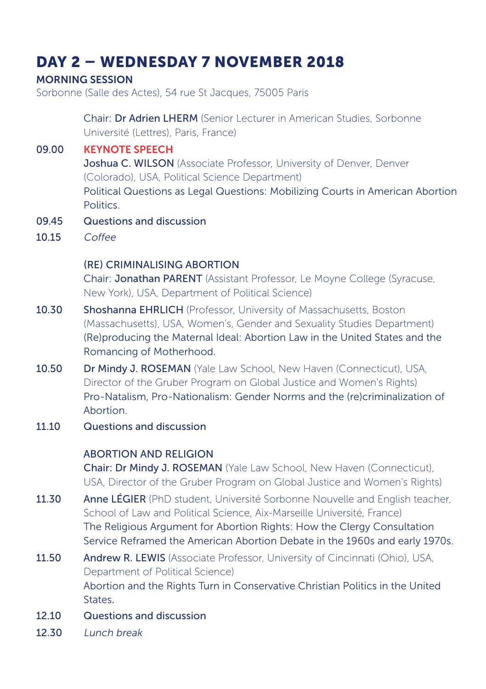# DAY 2 – WEDNESDAY 7 NOVEMBER 2018

#### MORNING SESSION

Sorbonne (Salle des Actes), 54 rue St Jacques, 75005 Paris

 Chair: Dr Adrien LHERM (Senior Lecturer in American Studies, Sorbonne Université (Lettres), Paris, France)

09.00 KEYNOTE SPEECH Joshua C. WILSON (Associate Professor, University of Denver, Denver (Colorado), USA, Political Science Department) Political Questions as Legal Questions: Mobilizing Courts in American Abortion **Politics** 

- 09.45 Questions and discussion
- $10.15$  Coffee

#### (RE) CRIMINALISING ABORTION

Chair: Jonathan PARENT (Assistant Professor, Le Moyne College (Syracuse, New York), USA, Department of Political Science)

- 10.30 Shoshanna EHRLICH (Professor, University of Massachusetts, Boston (Massachusetts), USA, Women's, Gender and Sexuality Studies Department) (Re)producing the Maternal Ideal: Abortion Law in the United States and the Romancing of Motherhood.
- 10.50 Dr Mindy J. ROSEMAN (Yale Law School, New Haven (Connecticut), USA, Director of the Gruber Program on Global Justice and Women's Rights) Pro-Natalism, Pro-Nationalism: Gender Norms and the (re)criminalization of Abortion.
- 11.10 Questions and discussion

#### ABORTION AND RELIGION

Chair: Dr Mindy J. ROSEMAN (Yale Law School, New Haven (Connecticut), USA, Director of the Gruber Program on Global Justice and Women's Rights)

- 11.30 Anne LÉGIER (PhD student, Université Sorbonne Nouvelle and English teacher, School of Law and Political Science, Aix-Marseille Université, France) The Religious Argument for Abortion Rights: How the Clergy Consultation Service Reframed the American Abortion Debate in the 1960s and early 1970s.
- 11.50 Andrew R. LEWIS (Associate Professor, University of Cincinnati (Ohio), USA, Department of Political Science) Abortion and the Rights Turn in Conservative Christian Politics in the United **States**
- 12.10 Questions and discussion
- 12.30 Lunch break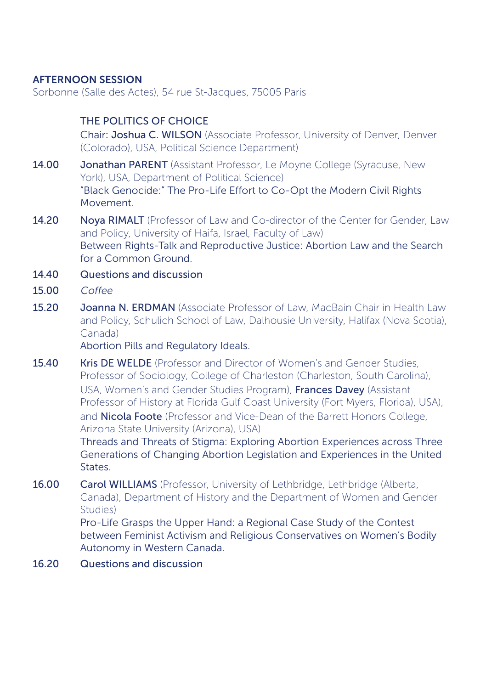#### AFTERNOON SESSION

Sorbonne (Salle des Actes), 54 rue St-Jacques, 75005 Paris

#### THE POLITICS OF CHOICE

Chair: Joshua C. WILSON (Associate Professor, University of Denver, Denver (Colorado), USA, Political Science Department)

- 14.00 **Jonathan PARENT** (Assistant Professor, Le Moyne College (Syracuse, New York), USA, Department of Political Science) "Black Genocide:" The Pro-Life Effort to Co-Opt the Modern Civil Rights Movement.
- 14.20 Nova RIMALT (Professor of Law and Co-director of the Center for Gender, Law and Policy, University of Haifa, Israel, Faculty of Law) Between Rights-Talk and Reproductive Justice: Abortion Law and the Search for a Common Ground.
- 14.40 Questions and discussion
- 15.00 Coffee
- 15.20 **Joanna N. ERDMAN** (Associate Professor of Law, MacBain Chair in Health Law and Policy, Schulich School of Law, Dalhousie University, Halifax (Nova Scotia), Canada)

Abortion Pills and Regulatory Ideals.

15.40 Kris DE WELDE (Professor and Director of Women's and Gender Studies, Professor of Sociology, College of Charleston (Charleston, South Carolina), USA, Women's and Gender Studies Program), Frances Davey (Assistant Professor of History at Florida Gulf Coast University (Fort Myers, Florida), USA), and **Nicola Foote** (Professor and Vice-Dean of the Barrett Honors College, Arizona State University (Arizona), USA)

Threads and Threats of Stigma: Exploring Abortion Experiences across Three Generations of Changing Abortion Legislation and Experiences in the United States.

16.00 Carol WILLIAMS (Professor, University of Lethbridge, Lethbridge (Alberta, Canada), Department of History and the Department of Women and Gender Studies)

Pro-Life Grasps the Upper Hand: a Regional Case Study of the Contest between Feminist Activism and Religious Conservatives on Women's Bodily Autonomy in Western Canada.

16.20 Questions and discussion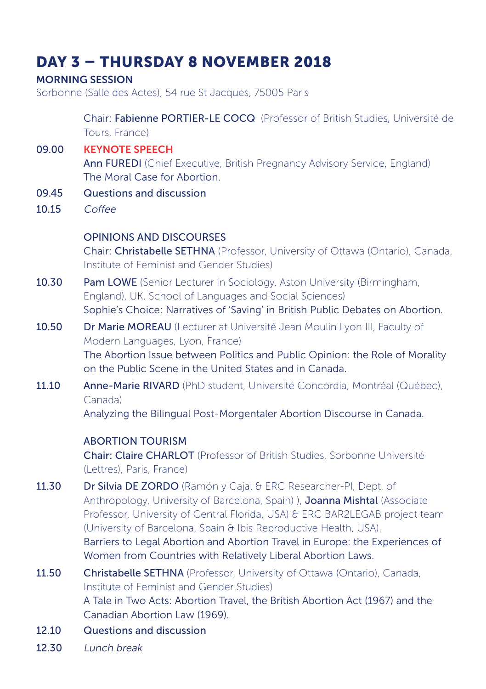# DAY 3 – THURSDAY 8 NOVEMBER 2018

#### MORNING SESSION

Sorbonne (Salle des Actes), 54 rue St Jacques, 75005 Paris

 Chair: Fabienne PORTIER-LE COCQ (Professor of British Studies, Université de Tours, France)

- 09.00 KEYNOTE SPEECH Ann FUREDI (Chief Executive, British Pregnancy Advisory Service, England) The Moral Case for Abortion.
- 09.45 Questions and discussion
- 10.15 Coffee

#### OPINIONS AND DISCOURSES

Chair: Christabelle SETHNA (Professor, University of Ottawa (Ontario), Canada, Institute of Feminist and Gender Studies)

- 10.30 Pam LOWE (Senior Lecturer in Sociology, Aston University (Birmingham, England), UK, School of Languages and Social Sciences) Sophie's Choice: Narratives of 'Saving' in British Public Debates on Abortion.
- 10.50 Dr Marie MOREAU (Lecturer at Université Jean Moulin Lyon III, Faculty of Modern Languages, Lyon, France) The Abortion Issue between Politics and Public Opinion: the Role of Morality on the Public Scene in the United States and in Canada.
- 11.10 Anne-Marie RIVARD (PhD student, Université Concordia, Montréal (Québec), Canada)

Analyzing the Bilingual Post-Morgentaler Abortion Discourse in Canada.

#### ABORTION TOURISM

Chair: Claire CHARLOT (Professor of British Studies, Sorbonne Université (Lettres), Paris, France)

- 11.30 Dr Silvia DE ZORDO (Ramón y Cajal & ERC Researcher-PI, Dept. of Anthropology, University of Barcelona, Spain) ), Joanna Mishtal (Associate Professor, University of Central Florida, USA) & ERC BAR2LEGAB project team (University of Barcelona, Spain & Ibis Reproductive Health, USA). Barriers to Legal Abortion and Abortion Travel in Europe: the Experiences of Women from Countries with Relatively Liberal Abortion Laws.
- 11.50 Christabelle SETHNA (Professor, University of Ottawa (Ontario), Canada, Institute of Feminist and Gender Studies) A Tale in Two Acts: Abortion Travel, the British Abortion Act (1967) and the Canadian Abortion Law (1969).
- 12.10 Questions and discussion
- 12.30 Lunch break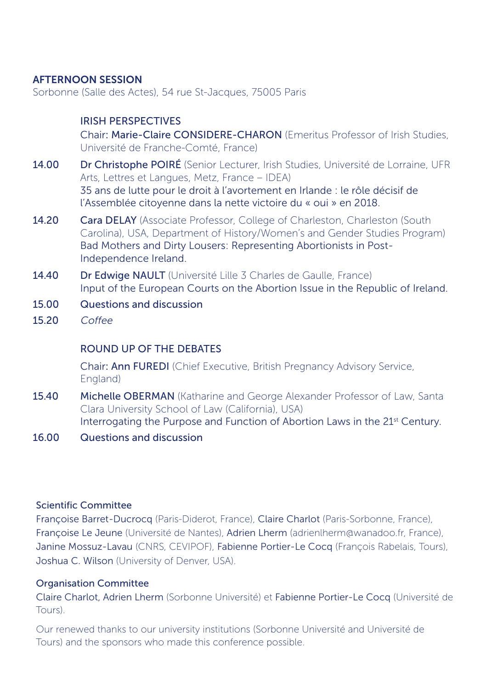#### AFTERNOON SESSION

Sorbonne (Salle des Actes), 54 rue St-Jacques, 75005 Paris

#### IRISH PERSPECTIVES

Chair: Marie-Claire CONSIDERE-CHARON (Emeritus Professor of Irish Studies, Université de Franche-Comté, France)

- 14.00 Dr Christophe POIRÉ (Senior Lecturer, Irish Studies, Université de Lorraine, UFR Arts, Lettres et Langues, Metz, France – IDEA) 35 ans de lutte pour le droit à l'avortement en Irlande : le rôle décisif de l'Assemblée citoyenne dans la nette victoire du « oui » en 2018.
- 14.20 Cara DELAY (Associate Professor, College of Charleston, Charleston (South Carolina), USA, Department of History/Women's and Gender Studies Program) Bad Mothers and Dirty Lousers: Representing Abortionists in Post-Independence Ireland.
- 14.40 Dr Edwige NAULT (Université Lille 3 Charles de Gaulle, France) Input of the European Courts on the Abortion Issue in the Republic of Ireland.
- 15.00 Questions and discussion
- $15.20$  Coffee

#### ROUND UP OF THE DEBATES

Chair: Ann FUREDI (Chief Executive, British Pregnancy Advisory Service, England)

- 15.40 Michelle OBERMAN (Katharine and George Alexander Professor of Law, Santa Clara University School of Law (California), USA) Interrogating the Purpose and Function of Abortion Laws in the 21<sup>st</sup> Century.
- 16.00 Questions and discussion

#### Scientific Committee

Françoise Barret-Ducrocq (Paris-Diderot, France), Claire Charlot (Paris-Sorbonne, France), Françoise Le Jeune (Université de Nantes), Adrien Lherm (adrienlherm@wanadoo.fr, France), Janine Mossuz-Lavau (CNRS, CEVIPOF), Fabienne Portier-Le Cocq (François Rabelais, Tours), Joshua C. Wilson (University of Denver, USA).

#### Organisation Committee

Claire Charlot, Adrien Lherm (Sorbonne Université) et Fabienne Portier-Le Cocq (Université de Tours).

Our renewed thanks to our university institutions (Sorbonne Université and Université de Tours) and the sponsors who made this conference possible.